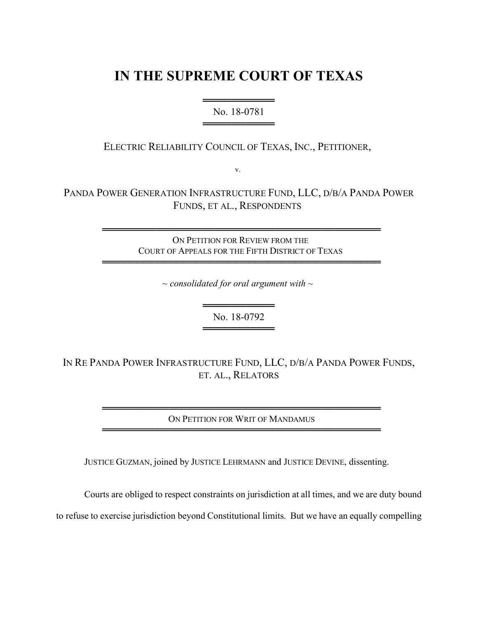## **IN THE SUPREME COURT OF TEXAS**

## ══════════ No. 18-0781 ═════════════════════════

ELECTRIC RELIABILITY COUNCIL OF TEXAS, INC., PETITIONER,

v.

PANDA POWER GENERATION INFRASTRUCTURE FUND, LLC, D/B/A PANDA POWER FUNDS, ET AL., RESPONDENTS

> ══════════════════════════════════════════ ON PETITION FOR REVIEW FROM THE COURT OF APPEALS FOR THE FIFTH DISTRICT OF TEXAS

> ══════════════════════════════════════════

*~ consolidated for oral argument with ~*

══════════ No. 18-0792 ═════════════════════════

IN RE PANDA POWER INFRASTRUCTURE FUND, LLC, D/B/A PANDA POWER FUNDS, ET. AL., RELATORS

> ══════════════════════════════════════════ ON PETITION FOR WRIT OF MANDAMUS ══════════════════════════════════════════

JUSTICE GUZMAN, joined by JUSTICE LEHRMANN and JUSTICE DEVINE, dissenting.

Courts are obliged to respect constraints on jurisdiction at all times, and we are duty bound

to refuse to exercise jurisdiction beyond Constitutional limits. But we have an equally compelling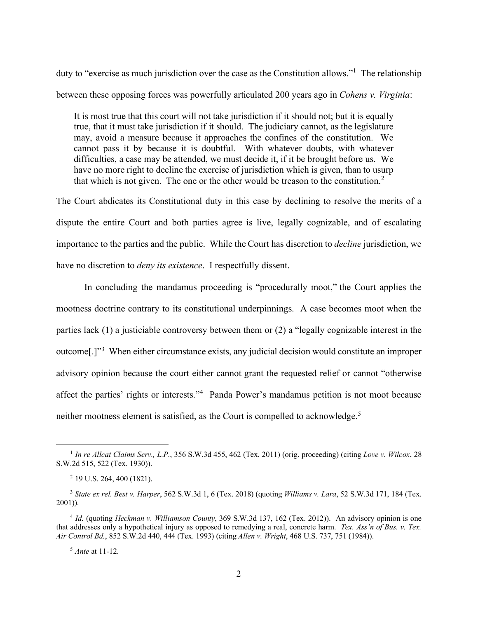duty to "exercise as much jurisdiction over the case as the Constitution allows."<sup>1</sup> The relationship between these opposing forces was powerfully articulated 200 years ago in *Cohens v. Virginia*:

It is most true that this court will not take jurisdiction if it should not; but it is equally true, that it must take jurisdiction if it should. The judiciary cannot, as the legislature may, avoid a measure because it approaches the confines of the constitution. We cannot pass it by because it is doubtful. With whatever doubts, with whatever difficulties, a case may be attended, we must decide it, if it be brought before us. We have no more right to decline the exercise of jurisdiction which is given, than to usurp that which is not given. The one or the other would be treason to the constitution.<sup>2</sup>

The Court abdicates its Constitutional duty in this case by declining to resolve the merits of a dispute the entire Court and both parties agree is live, legally cognizable, and of escalating importance to the parties and the public. While the Court has discretion to *decline* jurisdiction, we have no discretion to *deny its existence*. I respectfully dissent.

In concluding the mandamus proceeding is "procedurally moot," the Court applies the mootness doctrine contrary to its constitutional underpinnings. A case becomes moot when the parties lack (1) a justiciable controversy between them or (2) a "legally cognizable interest in the outcome<sup>[.]"3</sup> When either circumstance exists, any judicial decision would constitute an improper advisory opinion because the court either cannot grant the requested relief or cannot "otherwise affect the parties' rights or interests."<sup>4</sup> Panda Power's mandamus petition is not moot because neither mootness element is satisfied, as the Court is compelled to acknowledge.<sup>5</sup>

<sup>1</sup> *In re Allcat Claims Serv., L.P.*, 356 S.W.3d 455, 462 (Tex. 2011) (orig. proceeding) (citing *Love v. Wilcox*, 28 S.W.2d 515, 522 (Tex. 1930)).

<sup>2</sup> 19 U.S. 264, 400 (1821).

<sup>3</sup> *State ex rel. Best v. Harper*, 562 S.W.3d 1, 6 (Tex. 2018) (quoting *Williams v. Lara*, 52 S.W.3d 171, 184 (Tex. 2001)).

<sup>4</sup> *Id.* (quoting *Heckman v. Williamson County*, 369 S.W.3d 137, 162 (Tex. 2012)). An advisory opinion is one that addresses only a hypothetical injury as opposed to remedying a real, concrete harm. *Tex. Ass'n of Bus. v. Tex. Air Control Bd.*, 852 S.W.2d 440, 444 (Tex. 1993) (citing *Allen v. Wright*, 468 U.S. 737, 751 (1984)).

<sup>5</sup> *Ante* at 11-12.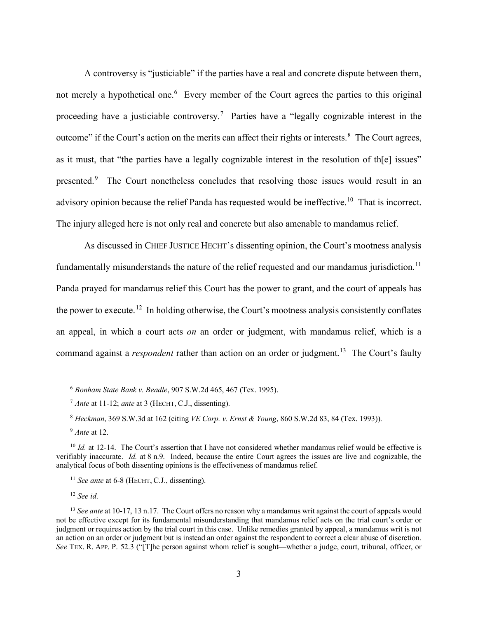A controversy is "justiciable" if the parties have a real and concrete dispute between them, not merely a hypothetical one.<sup>6</sup> Every member of the Court agrees the parties to this original proceeding have a justiciable controversy.<sup>7</sup> Parties have a "legally cognizable interest in the outcome" if the Court's action on the merits can affect their rights or interests.<sup>8</sup> The Court agrees, as it must, that "the parties have a legally cognizable interest in the resolution of th[e] issues" presented.<sup>9</sup> The Court nonetheless concludes that resolving those issues would result in an advisory opinion because the relief Panda has requested would be ineffective.<sup>10</sup> That is incorrect. The injury alleged here is not only real and concrete but also amenable to mandamus relief.

As discussed in CHIEF JUSTICE HECHT's dissenting opinion, the Court's mootness analysis fundamentally misunderstands the nature of the relief requested and our mandamus jurisdiction.<sup>11</sup> Panda prayed for mandamus relief this Court has the power to grant, and the court of appeals has the power to execute.<sup>12</sup> In holding otherwise, the Court's mootness analysis consistently conflates an appeal, in which a court acts *on* an order or judgment, with mandamus relief, which is a command against a *respondent* rather than action on an order or judgment. 13 The Court's faulty

<sup>12</sup> *See id*.

<sup>6</sup> *Bonham State Bank v. Beadle*, 907 S.W.2d 465, 467 (Tex. 1995).

<sup>7</sup> *Ante* at 11-12; *ante* at 3 (HECHT, C.J., dissenting).

<sup>8</sup> *Heckman*, 369 S.W.3d at 162 (citing *VE Corp. v. Ernst & Young*, 860 S.W.2d 83, 84 (Tex. 1993)).

<sup>9</sup> *Ante* at 12.

<sup>&</sup>lt;sup>10</sup> *Id.* at 12-14. The Court's assertion that I have not considered whether mandamus relief would be effective is verifiably inaccurate. *Id.* at 8 n.9. Indeed, because the entire Court agrees the issues are live and cognizable, the analytical focus of both dissenting opinions is the effectiveness of mandamus relief.

<sup>&</sup>lt;sup>11</sup> *See ante* at 6-8 (HECHT, C.J., dissenting).

<sup>&</sup>lt;sup>13</sup> *See ante* at 10-17, 13 n.17. The Court offers no reason why a mandamus writ against the court of appeals would not be effective except for its fundamental misunderstanding that mandamus relief acts on the trial court's order or judgment or requires action by the trial court in this case. Unlike remedies granted by appeal, a mandamus writ is not an action on an order or judgment but is instead an order against the respondent to correct a clear abuse of discretion. *See* TEX. R. APP. P. 52.3 ("[T]he person against whom relief is sought—whether a judge, court, tribunal, officer, or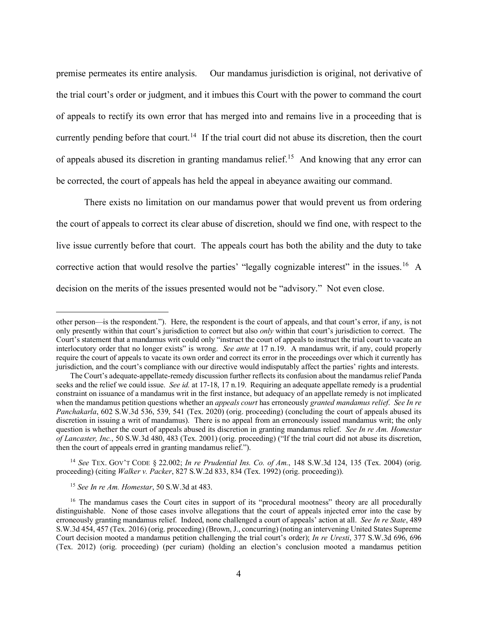premise permeates its entire analysis. Our mandamus jurisdiction is original, not derivative of the trial court's order or judgment, and it imbues this Court with the power to command the court of appeals to rectify its own error that has merged into and remains live in a proceeding that is currently pending before that court.<sup>14</sup> If the trial court did not abuse its discretion, then the court of appeals abused its discretion in granting mandamus relief.<sup>15</sup> And knowing that any error can be corrected, the court of appeals has held the appeal in abeyance awaiting our command.

There exists no limitation on our mandamus power that would prevent us from ordering the court of appeals to correct its clear abuse of discretion, should we find one, with respect to the live issue currently before that court. The appeals court has both the ability and the duty to take corrective action that would resolve the parties' "legally cognizable interest" in the issues.<sup>16</sup> A decision on the merits of the issues presented would not be "advisory." Not even close.

<sup>14</sup> *See* TEX. GOV'T CODE § 22.002; *In re Prudential Ins. Co. of Am.*, 148 S.W.3d 124, 135 (Tex. 2004) (orig. proceeding) (citing *Walker v. Packer*, 827 S.W.2d 833, 834 (Tex. 1992) (orig. proceeding)).

<sup>15</sup> *See In re Am. Homestar*, 50 S.W.3d at 483.

other person—is the respondent."). Here, the respondent is the court of appeals, and that court's error, if any, is not only presently within that court's jurisdiction to correct but also *only* within that court's jurisdiction to correct. The Court's statement that a mandamus writ could only "instruct the court of appeals to instruct the trial court to vacate an interlocutory order that no longer exists" is wrong. *See ante* at 17 n.19. A mandamus writ, if any, could properly require the court of appeals to vacate its own order and correct its error in the proceedings over which it currently has jurisdiction, and the court's compliance with our directive would indisputably affect the parties' rights and interests.

The Court's adequate-appellate-remedy discussion further reflects its confusion about the mandamus relief Panda seeks and the relief we could issue. *See id.* at 17-18, 17 n.19. Requiring an adequate appellate remedy is a prudential constraint on issuance of a mandamus writ in the first instance, but adequacy of an appellate remedy is not implicated when the mandamus petition questions whether an *appeals court* has erroneously *granted mandamus relief*. *See In re Panchakarla*, 602 S.W.3d 536, 539, 541 (Tex. 2020) (orig. proceeding) (concluding the court of appeals abused its discretion in issuing a writ of mandamus). There is no appeal from an erroneously issued mandamus writ; the only question is whether the court of appeals abused its discretion in granting mandamus relief. *See In re Am. Homestar of Lancaster, Inc.*, 50 S.W.3d 480, 483 (Tex. 2001) (orig. proceeding) ("If the trial court did not abuse its discretion, then the court of appeals erred in granting mandamus relief.").

<sup>&</sup>lt;sup>16</sup> The mandamus cases the Court cites in support of its "procedural mootness" theory are all procedurally distinguishable. None of those cases involve allegations that the court of appeals injected error into the case by erroneously granting mandamus relief. Indeed, none challenged a court of appeals' action at all. *See In re State*, 489 S.W.3d 454, 457 (Tex. 2016) (orig. proceeding) (Brown, J., concurring) (noting an intervening United States Supreme Court decision mooted a mandamus petition challenging the trial court's order); *In re Uresti*, 377 S.W.3d 696, 696 (Tex. 2012) (orig. proceeding) (per curiam) (holding an election's conclusion mooted a mandamus petition